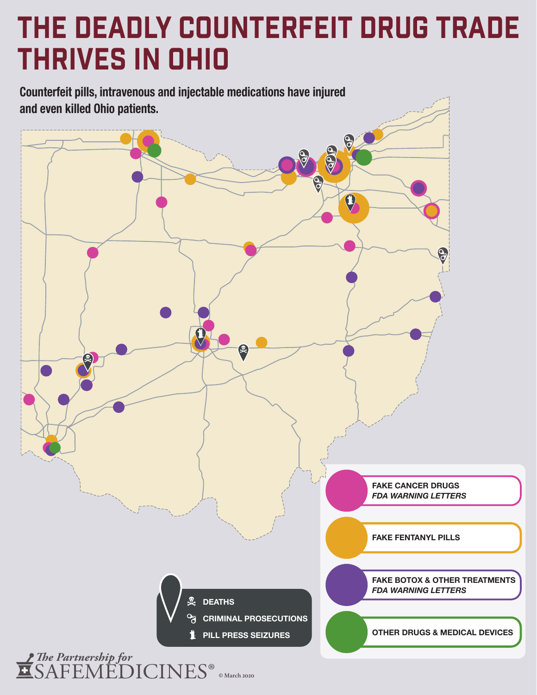# The Deadly Counterfeit Drug Trade Thrives in OHIO

**Counterfeit pills, intravenous and injectable medications have injured and even killed Ohio patients.**

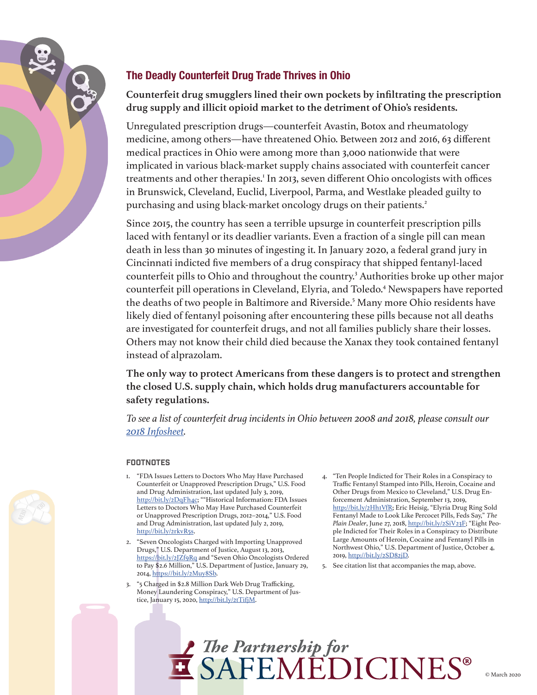

### **The Deadly Counterfeit Drug Trade Thrives in Ohio**

**Counterfeit drug smugglers lined their own pockets by infiltrating the prescription drug supply and illicit opioid market to the detriment of Ohio's residents.**

Unregulated prescription drugs—counterfeit Avastin, Botox and rheumatology medicine, among others—have threatened Ohio. Between 2012 and 2016, 63 different medical practices in Ohio were among more than 3,000 nationwide that were implicated in various black-market supply chains associated with counterfeit cancer treatments and other therapies.<sup>1</sup> In 2013, seven different Ohio oncologists with offices in Brunswick, Cleveland, Euclid, Liverpool, Parma, and Westlake pleaded guilty to purchasing and using black-market oncology drugs on their patients.<sup>2</sup>

Since 2015, the country has seen a terrible upsurge in counterfeit prescription pills laced with fentanyl or its deadlier variants. Even a fraction of a single pill can mean death in less than 30 minutes of ingesting it. In January 2020, a federal grand jury in Cincinnati indicted five members of a drug conspiracy that shipped fentanyl-laced counterfeit pills to Ohio and throughout the country.<sup>3</sup> Authorities broke up other major counterfeit pill operations in Cleveland, Elyria, and Toledo.<sup>4</sup> Newspapers have reported the deaths of two people in Baltimore and Riverside.<sup>5</sup> Many more Ohio residents have likely died of fentanyl poisoning after encountering these pills because not all deaths are investigated for counterfeit drugs, and not all families publicly share their losses. Others may not know their child died because the Xanax they took contained fentanyl instead of alprazolam.

**The only way to protect Americans from these dangers is to protect and strengthen the closed U.S. supply chain, which holds drug manufacturers accountable for safety regulations.**

*To see a list of counterfeit drug incidents in Ohio between 2008 and 2018, please consult our [2018 Infosheet.](http://www.safemedicines.org/wp-content/uploads/2018/09/OH-2018infosheet-SECURE.pdf)*

#### **FOOTNOTES**

- 1. "FDA Issues Letters to Doctors Who May Have Purchased Counterfeit or Unapproved Prescription Drugs," U.S. Food and Drug Administration, last updated July 3, 2019, <http://bit.ly/2DqFh4c>; ""Historical Information: FDA Issues Letters to Doctors Who May Have Purchased Counterfeit or Unapproved Prescription Drugs, 2012–2014," U.S. Food and Drug Administration, last updated July 2, 2019, [http://bit.ly/2rkvR5s.](http://bit.ly/2rkvR5s)
- 2. "Seven Oncologists Charged with Importing Unapproved Drugs," U.S. Department of Justice, August 13, 2013, <https://bit.ly/2JZf9Rq>and "Seven Ohio Oncologists Ordered to Pay \$2.6 Million," U.S. Department of Justice, January 29, 2014, [https://bit.ly/2Muy8Sb.](https://bit.ly/2Muy8Sb)
- 3. "5 Charged in \$2.8 Million Dark Web Drug Trafficking, Money Laundering Conspiracy," U.S. Department of Justice, January 15, 2020, <http://bit.ly/2tTifjM>.
- 4. "Ten People Indicted for Their Roles in a Conspiracy to Traffic Fentanyl Stamped into Pills, Heroin, Cocaine and Other Drugs from Mexico to Cleveland," U.S. Drug Enforcement Administration, September 13, 2019, [http://bit.ly/2Hh1VfR;](http://bit.ly/2Hh1VfR) Eric Heisig, "Elyria Drug Ring Sold Fentanyl Made to Look Like Percocet Pills, Feds Say," *The Plain Dealer*, June 27, 2018,<http://bit.ly/2SiV23F>; "Eight People Indicted for Their Roles in a Conspiracy to Distribute Large Amounts of Heroin, Cocaine and Fentanyl Pills in Northwest Ohio," U.S. Department of Justice, October 4, 2019, [http://bit.ly/2SD82jD.](http://bit.ly/2SD82jD)
- 5. See citation list that accompanies the map, above.